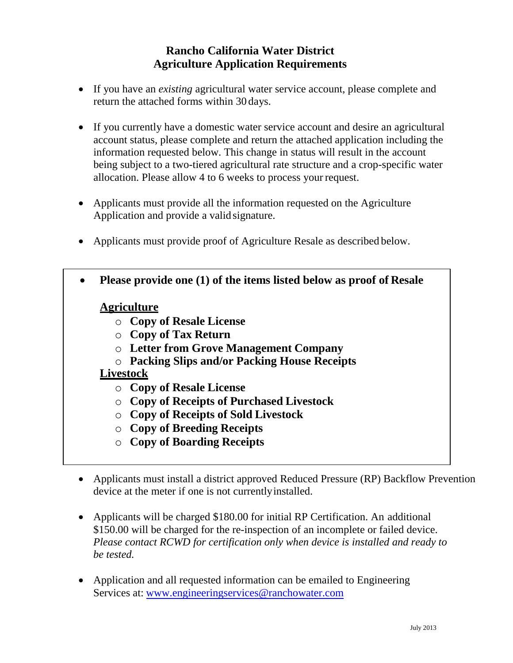# **Rancho California Water District Agriculture Application Requirements**

- If you have an *existing* agricultural water service account, please complete and return the attached forms within 30 days.
- If you currently have a domestic water service account and desire an agricultural account status, please complete and return the attached application including the information requested below. This change in status will result in the account being subject to a two-tiered agricultural rate structure and a crop-specific water allocation. Please allow 4 to 6 weeks to process your request.
- Applicants must provide all the information requested on the Agriculture Application and provide a valid signature.
- Applicants must provide proof of Agriculture Resale as described below.
- **Please provide one (1) of the items listed below as proof of Resale**

#### **Agriculture**

- o **Copy of Resale License**
- o **Copy of Tax Return**
- o **Letter from Grove Management Company**
- o **Packing Slips and/or Packing House Receipts**

#### **Livestock**

- o **Copy of Resale License**
- o **Copy of Receipts of Purchased Livestock**
- o **Copy of Receipts of Sold Livestock**
- o **Copy of Breeding Receipts**
- o **Copy of Boarding Receipts**
- Applicants must install a district approved Reduced Pressure (RP) Backflow Prevention device at the meter if one is not currently installed.
- Applicants will be charged \$180.00 for initial RP Certification. An additional \$150.00 will be charged for the re-inspection of an incomplete or failed device. *Please contact RCWD for certification only when device is installed and ready to be tested.*
- Application and all requested information can be emailed to Engineering Services at: www.engi[neeringservices@ranchowater.com](http://www.engineeringservices@ranchowater.com)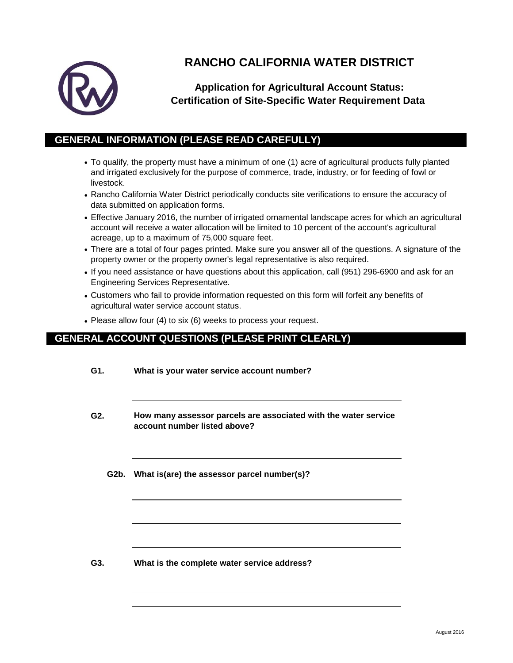

# **RANCHO CALIFORNIA WATER DISTRICT**

### **Application for Agricultural Account Status: Certification of Site-Specific Water Requirement Data**

#### **GENERAL INFORMATION (PLEASE READ CAREFULLY)**

- To qualify, the property must have a minimum of one (1) acre of agricultural products fully planted and irrigated exclusively for the purpose of commerce, trade, industry, or for feeding of fowl or livestock.
- Rancho California Water District periodically conducts site verifications to ensure the accuracy of data submitted on application forms.
- Effective January 2016, the number of irrigated ornamental landscape acres for which an agricultural account will receive a water allocation will be limited to 10 percent of the account's agricultural acreage, up to a maximum of 75,000 square feet.
- There are a total of four pages printed. Make sure you answer all of the questions. A signature of the property owner or the property owner's legal representative is also required.
- If you need assistance or have questions about this application, call (951) 296-6900 and ask for an Engineering Services Representative.
- Customers who fail to provide information requested on this form will forfeit any benefits of agricultural water service account status.
- Please allow four (4) to six (6) weeks to process your request.

#### **GENERAL ACCOUNT QUESTIONS (PLEASE PRINT CLEARLY)**

| G1. | What is your water service account number?                                                      |
|-----|-------------------------------------------------------------------------------------------------|
| G2. | How many assessor parcels are associated with the water service<br>account number listed above? |
|     | G2b. What is(are) the assessor parcel number(s)?                                                |
| G3. | What is the complete water service address?                                                     |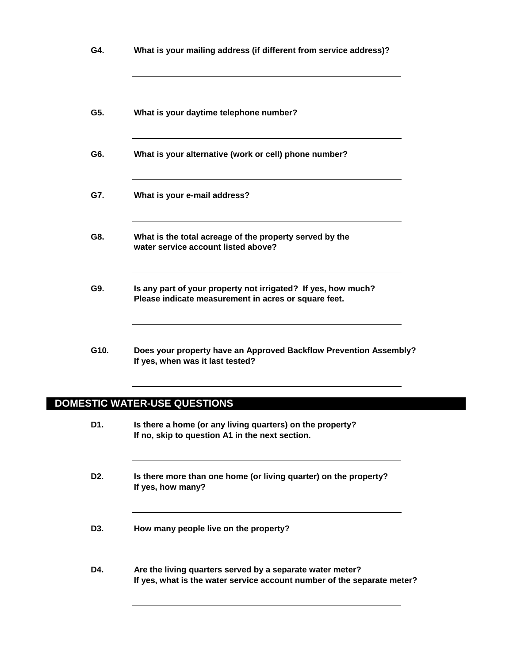| G4.  | What is your mailing address (if different from service address)?                                                                                        |
|------|----------------------------------------------------------------------------------------------------------------------------------------------------------|
| G5.  | What is your daytime telephone number?                                                                                                                   |
| G6.  | What is your alternative (work or cell) phone number?                                                                                                    |
| G7.  | What is your e-mail address?                                                                                                                             |
| G8.  | What is the total acreage of the property served by the<br>water service account listed above?                                                           |
| G9.  | Is any part of your property not irrigated? If yes, how much?<br>Please indicate measurement in acres or square feet.<br>NO.<br>$\overline{\phantom{0}}$ |
| G10. | Does your property have an Approved Backflow Prevention Assembly?<br>If yes, when was it last tested?<br>NO.                                             |
|      | DOMESTIC WATER-USE QUESTIONS                                                                                                                             |
| D1.  | Is there a home (or any living quarters) on the property?<br>If no, skip to question A1 in the next section.<br><b>NO</b>                                |
| D2.  | Is there more than one home (or living quarter) on the property?<br>If yes, how many?<br>NO                                                              |
| D3.  | How many people live on the property?                                                                                                                    |
| D4.  | Are the living quarters served by a separate water meter?<br>If yes, what is the water service account number of the separate meter?<br><b>NO</b>        |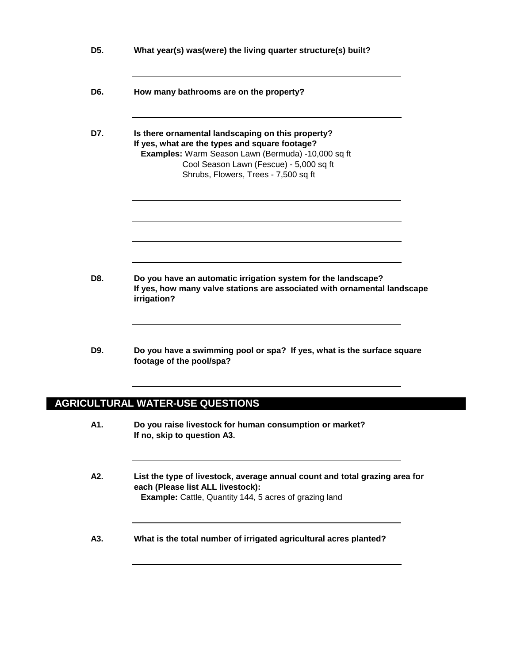| D <sub>5</sub> . | What year(s) was(were) the living quarter structure(s) built?                                                                                                                                                                                |  |
|------------------|----------------------------------------------------------------------------------------------------------------------------------------------------------------------------------------------------------------------------------------------|--|
| D6.              | How many bathrooms are on the property?                                                                                                                                                                                                      |  |
| D7.              | Is there ornamental landscaping on this property?<br>If yes, what are the types and square footage?<br>Examples: Warm Season Lawn (Bermuda) -10,000 sq ft<br>Cool Season Lawn (Fescue) - 5,000 sq ft<br>Shrubs, Flowers, Trees - 7,500 sq ft |  |
|                  |                                                                                                                                                                                                                                              |  |
| D8.              | Do you have an automatic irrigation system for the landscape?<br>If yes, how many valve stations are associated with ornamental landscape<br>irrigation?<br><b>NO</b>                                                                        |  |
| D9.              | Do you have a swimming pool or spa? If yes, what is the surface square<br>footage of the pool/spa?<br>NO.                                                                                                                                    |  |
|                  | <b>AGRICULTURAL WATER-USE QUESTIONS</b>                                                                                                                                                                                                      |  |
| A1.              | Do you raise livestock for human consumption or market?<br>If no, skip to question A3.<br><b>NO</b>                                                                                                                                          |  |
| A2.              | List the type of livestock, average annual count and total grazing area for<br>each (Please list ALL livestock):<br><b>Example:</b> Cattle, Quantity 144, 5 acres of grazing land                                                            |  |
| A3.              | What is the total number of irrigated agricultural acres planted?                                                                                                                                                                            |  |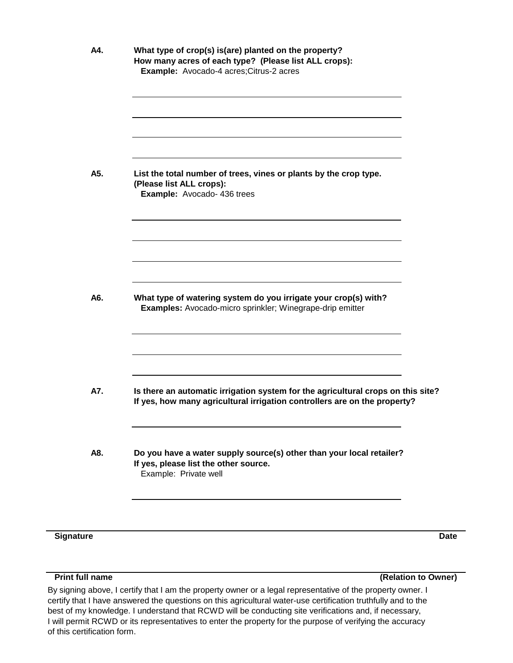|     | Example: Avocado-4 acres; Citrus-2 acres                                                                                                                      |
|-----|---------------------------------------------------------------------------------------------------------------------------------------------------------------|
|     |                                                                                                                                                               |
|     |                                                                                                                                                               |
| A5. | List the total number of trees, vines or plants by the crop type.                                                                                             |
|     | (Please list ALL crops):<br>Example: Avocado- 436 trees                                                                                                       |
|     |                                                                                                                                                               |
|     |                                                                                                                                                               |
|     |                                                                                                                                                               |
| A6. | What type of watering system do you irrigate your crop(s) with?<br>Examples: Avocado-micro sprinkler; Winegrape-drip emitter                                  |
|     |                                                                                                                                                               |
| A7. | Is there an automatic irrigation system for the agricultural crops on this site?<br>If yes, how many agricultural irrigation controllers are on the property? |
|     | <b>NO</b><br>$\overline{\phantom{a}}$                                                                                                                         |
|     | Do you have a water supply source(s) other than your local retailer?                                                                                          |
| A8. | If yes, please list the other source.<br>Example: Private well                                                                                                |

**Signature Date**

**Print full name**

**(Relation to Owner)**

certify that I have answered the questions on this agricultural water-use certification truthfully and to the best of my knowledge. I understand that RCWD will be conducting site verifications and, if necessary, I will permit RCWD or its representatives to enter the property for the purpose of verifying the accuracy of this certification form. By signing above, I certify that I am the property owner or a legal representative of the property owner. I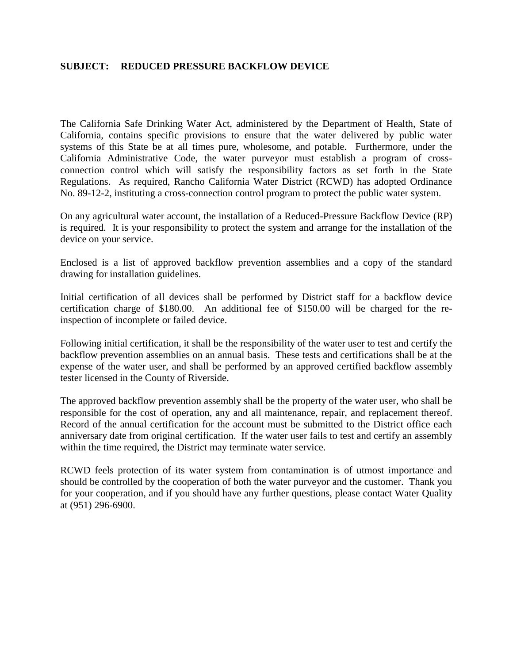#### **SUBJECT: REDUCED PRESSURE BACKFLOW DEVICE**

The California Safe Drinking Water Act, administered by the Department of Health, State of California, contains specific provisions to ensure that the water delivered by public water systems of this State be at all times pure, wholesome, and potable. Furthermore, under the California Administrative Code, the water purveyor must establish a program of crossconnection control which will satisfy the responsibility factors as set forth in the State Regulations. As required, Rancho California Water District (RCWD) has adopted Ordinance No. 89-12-2, instituting a cross-connection control program to protect the public water system.

On any agricultural water account, the installation of a Reduced-Pressure Backflow Device (RP) is required. It is your responsibility to protect the system and arrange for the installation of the device on your service.

Enclosed is a list of approved backflow prevention assemblies and a copy of the standard drawing for installation guidelines.

Initial certification of all devices shall be performed by District staff for a backflow device certification charge of \$180.00. An additional fee of \$150.00 will be charged for the reinspection of incomplete or failed device.

Following initial certification, it shall be the responsibility of the water user to test and certify the backflow prevention assemblies on an annual basis. These tests and certifications shall be at the expense of the water user, and shall be performed by an approved certified backflow assembly tester licensed in the County of Riverside.

The approved backflow prevention assembly shall be the property of the water user, who shall be responsible for the cost of operation, any and all maintenance, repair, and replacement thereof. Record of the annual certification for the account must be submitted to the District office each anniversary date from original certification. If the water user fails to test and certify an assembly within the time required, the District may terminate water service.

RCWD feels protection of its water system from contamination is of utmost importance and should be controlled by the cooperation of both the water purveyor and the customer. Thank you for your cooperation, and if you should have any further questions, please contact Water Quality at (951) 296-6900.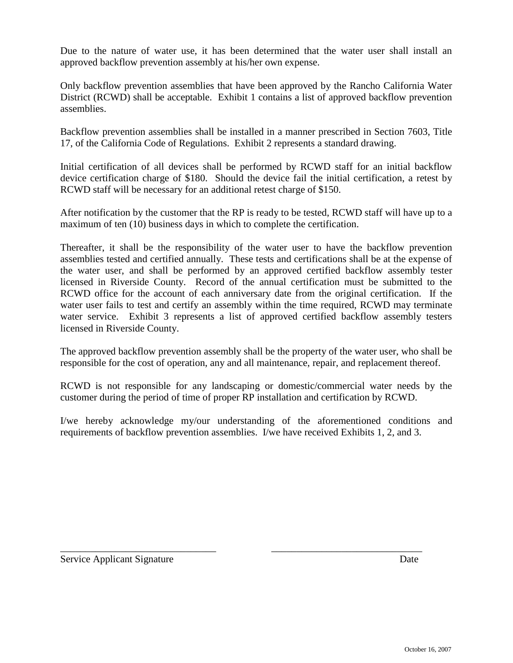Due to the nature of water use, it has been determined that the water user shall install an approved backflow prevention assembly at his/her own expense.

Only backflow prevention assemblies that have been approved by the Rancho California Water District (RCWD) shall be acceptable. Exhibit 1 contains a list of approved backflow prevention assemblies.

Backflow prevention assemblies shall be installed in a manner prescribed in Section 7603, Title 17, of the California Code of Regulations. Exhibit 2 represents a standard drawing.

Initial certification of all devices shall be performed by RCWD staff for an initial backflow device certification charge of \$180. Should the device fail the initial certification, a retest by RCWD staff will be necessary for an additional retest charge of \$150.

After notification by the customer that the RP is ready to be tested, RCWD staff will have up to a maximum of ten (10) business days in which to complete the certification.

Thereafter, it shall be the responsibility of the water user to have the backflow prevention assemblies tested and certified annually. These tests and certifications shall be at the expense of the water user, and shall be performed by an approved certified backflow assembly tester licensed in Riverside County. Record of the annual certification must be submitted to the RCWD office for the account of each anniversary date from the original certification. If the water user fails to test and certify an assembly within the time required, RCWD may terminate water service. Exhibit 3 represents a list of approved certified backflow assembly testers licensed in Riverside County.

The approved backflow prevention assembly shall be the property of the water user, who shall be responsible for the cost of operation, any and all maintenance, repair, and replacement thereof.

RCWD is not responsible for any landscaping or domestic/commercial water needs by the customer during the period of time of proper RP installation and certification by RCWD.

I/we hereby acknowledge my/our understanding of the aforementioned conditions and requirements of backflow prevention assemblies. I/we have received Exhibits 1, 2, and 3.

\_\_\_\_\_\_\_\_\_\_\_\_\_\_\_\_\_\_\_\_\_\_\_\_\_\_\_\_\_\_\_ \_\_\_\_\_\_\_\_\_\_\_\_\_\_\_\_\_\_\_\_\_\_\_\_\_\_\_\_\_\_

Service Applicant Signature Date